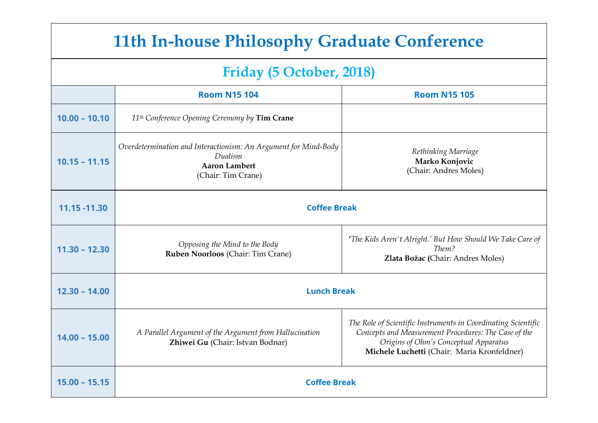# **11th In-house Philosophy Graduate Conference**

# **Friday (5 October, 2018)**

|                 | <b>Room N15 104</b>                                                                                                      | <b>Room N15 105</b>                                                                                                                                                                                           |  |  |
|-----------------|--------------------------------------------------------------------------------------------------------------------------|---------------------------------------------------------------------------------------------------------------------------------------------------------------------------------------------------------------|--|--|
| $10.00 - 10.10$ | 11 <sup>th</sup> Conference Opening Ceremony by Tim Crane                                                                |                                                                                                                                                                                                               |  |  |
| $10.15 - 11.15$ | Overdetermination and Interactionism: An Argument for Mind-Body<br>Dualism<br><b>Aaron Lambert</b><br>(Chair: Tim Crane) | Rethinking Marriage<br>Marko Konjovic<br>(Chair: Andres Moles)                                                                                                                                                |  |  |
| 11.15 -11.30    | <b>Coffee Break</b>                                                                                                      |                                                                                                                                                                                                               |  |  |
| $11.30 - 12.30$ | Opposing the Mind to the Body<br>Ruben Noorloos (Chair: Tim Crane)                                                       | 'The Kids Aren't Alright.' But How Should We Take Care of<br>Them?<br>Zlata Božac (Chair: Andres Moles)                                                                                                       |  |  |
| $12.30 - 14.00$ | <b>Lunch Break</b>                                                                                                       |                                                                                                                                                                                                               |  |  |
| $14.00 - 15.00$ | A Parallel Argument of the Argument from Hallucination<br>Zhiwei Gu (Chair: Istvan Bodnar)                               | The Role of Scientific Instruments in Coordinating Scientific<br>Concepts and Measurement Procedures: The Case of the<br>Origins of Ohm's Conceptual Apparatus<br>Michele Luchetti (Chair: Maria Kronfeldner) |  |  |
| $15.00 - 15.15$ | <b>Coffee Break</b>                                                                                                      |                                                                                                                                                                                                               |  |  |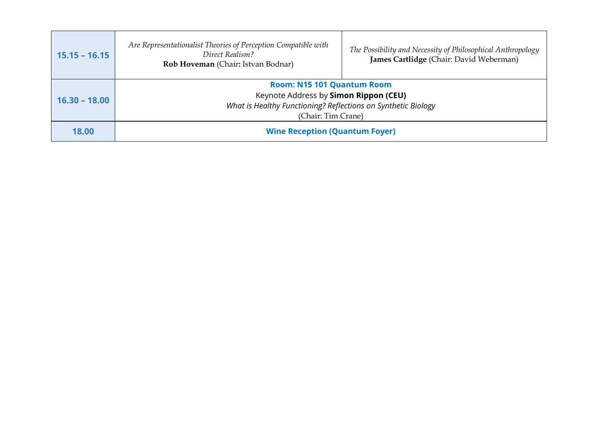| $15.15 - 16.15$ | Are Representationalist Theories of Perception Compatible with<br>Direct Realism?<br>Rob Hoveman (Chair: Istvan Bodnar)                                           | The Possibility and Necessity of Philosophical Anthropology<br>James Cartlidge (Chair: David Weberman) |
|-----------------|-------------------------------------------------------------------------------------------------------------------------------------------------------------------|--------------------------------------------------------------------------------------------------------|
| $16.30 - 18.00$ | <b>Room: N15 101 Quantum Room</b><br>Keynote Address by Simon Rippon (CEU)<br>What is Healthy Functioning? Reflections on Synthetic Biology<br>(Chair: Tim Crane) |                                                                                                        |
| 18.00           | <b>Wine Reception (Quantum Foyer)</b>                                                                                                                             |                                                                                                        |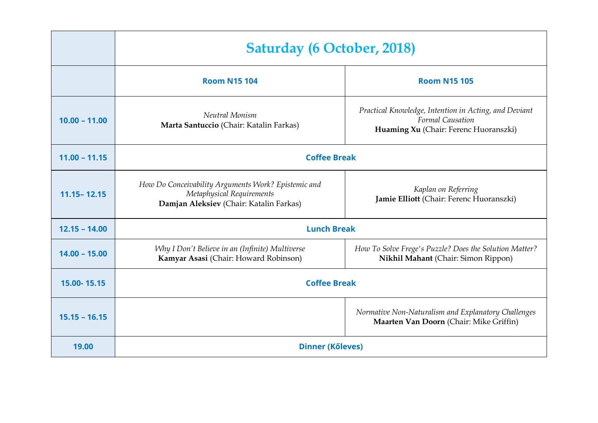|                 | <b>Saturday (6 October, 2018)</b>                                                                                           |                                                                                                                    |
|-----------------|-----------------------------------------------------------------------------------------------------------------------------|--------------------------------------------------------------------------------------------------------------------|
|                 | <b>Room N15 104</b>                                                                                                         | <b>Room N15 105</b>                                                                                                |
| $10.00 - 11.00$ | Neutral Monism<br>Marta Santuccio (Chair: Katalin Farkas)                                                                   | Practical Knowledge, Intention in Acting, and Deviant<br>Formal Causation<br>Huaming Xu (Chair: Ferenc Huoranszki) |
| $11.00 - 11.15$ | <b>Coffee Break</b>                                                                                                         |                                                                                                                    |
| $11.15 - 12.15$ | How Do Conceivability Arguments Work? Epistemic and<br>Metaphysical Requirements<br>Damjan Aleksiev (Chair: Katalin Farkas) | Kaplan on Referring<br>Jamie Elliott (Chair: Ferenc Huoranszki)                                                    |
| $12.15 - 14.00$ | <b>Lunch Break</b>                                                                                                          |                                                                                                                    |
| $14.00 - 15.00$ | Why I Don't Believe in an (Infinite) Multiverse<br>Kamyar Asasi (Chair: Howard Robinson)                                    | How To Solve Frege's Puzzle? Does the Solution Matter?<br>Nikhil Mahant (Chair: Simon Rippon)                      |
| 15.00-15.15     | <b>Coffee Break</b>                                                                                                         |                                                                                                                    |
| $15.15 - 16.15$ |                                                                                                                             | Normative Non-Naturalism and Explanatory Challenges<br>Maarten Van Doorn (Chair: Mike Griffin)                     |
| 19.00           | <b>Dinner (Kőleves)</b>                                                                                                     |                                                                                                                    |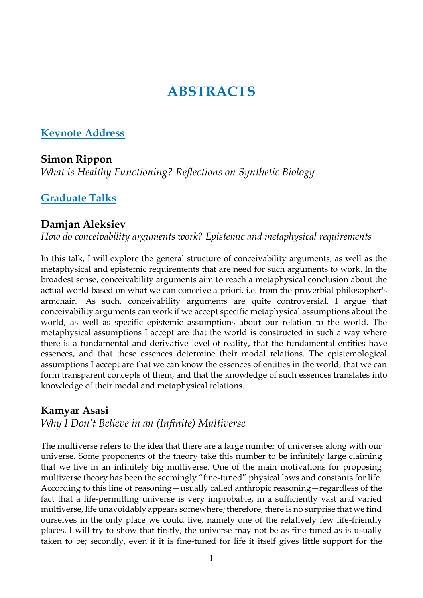# **ABSTRACTS**

# **Keynote Address**

# **Simon Rippon**

*What is Healthy Functioning? Reflections on Synthetic Biology*

# **Graduate Talks**

#### **Damjan Aleksiev**

*How do conceivability arguments work? Epistemic and metaphysical requirements*

In this talk, I will explore the general structure of conceivability arguments, as well as the metaphysical and epistemic requirements that are need for such arguments to work. In the broadest sense, conceivability arguments aim to reach a metaphysical conclusion about the actual world based on what we can conceive a priori, i.e. from the proverbial philosopher's armchair. As such, conceivability arguments are quite controversial. I argue that conceivability arguments can work if we accept specific metaphysical assumptions about the world, as well as specific epistemic assumptions about our relation to the world. The metaphysical assumptions I accept are that the world is constructed in such a way where there is a fundamental and derivative level of reality, that the fundamental entities have essences, and that these essences determine their modal relations. The epistemological assumptions I accept are that we can know the essences of entities in the world, that we can form transparent concepts of them, and that the knowledge of such essences translates into knowledge of their modal and metaphysical relations.

# **Kamyar Asasi**

*Why I Don't Believe in an (Infinite) Multiverse*

The multiverse refers to the idea that there are a large number of universes along with our universe. Some proponents of the theory take this number to be infinitely large claiming that we live in an infinitely big multiverse. One of the main motivations for proposing multiverse theory has been the seemingly "fine-tuned" physical laws and constants for life. According to this line of reasoning—usually called anthropic reasoning—regardless of the fact that a life-permitting universe is very improbable, in a sufficiently vast and varied multiverse, life unavoidably appears somewhere; therefore, there is no surprise that we find ourselves in the only place we could live, namely one of the relatively few life-friendly places. I will try to show that firstly, the universe may not be as fine-tuned as is usually taken to be; secondly, even if it is fine-tuned for life it itself gives little support for the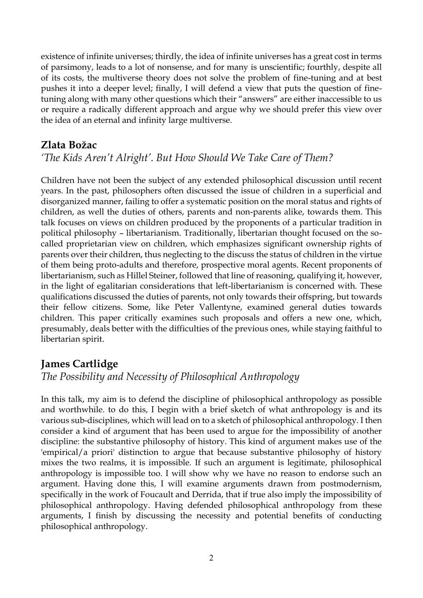existence of infinite universes; thirdly, the idea of infinite universes has a great cost in terms of parsimony, leads to a lot of nonsense, and for many is unscientific; fourthly, despite all of its costs, the multiverse theory does not solve the problem of fine-tuning and at best pushes it into a deeper level; finally, I will defend a view that puts the question of finetuning along with many other questions which their "answers" are either inaccessible to us or require a radically different approach and argue why we should prefer this view over the idea of an eternal and infinity large multiverse.

### **Zlata Božac**

# *'The Kids Aren't Alright'. But How Should We Take Care of Them?*

Children have not been the subject of any extended philosophical discussion until recent years. In the past, philosophers often discussed the issue of children in a superficial and disorganized manner, failing to offer a systematic position on the moral status and rights of children, as well the duties of others, parents and non-parents alike, towards them. This talk focuses on views on children produced by the proponents of a particular tradition in political philosophy – libertarianism. Traditionally, libertarian thought focused on the socalled proprietarian view on children, which emphasizes significant ownership rights of parents over their children, thus neglecting to the discuss the status of children in the virtue of them being proto-adults and therefore, prospective moral agents. Recent proponents of libertarianism, such as Hillel Steiner, followed that line of reasoning, qualifying it, however, in the light of egalitarian considerations that left-libertarianism is concerned with. These qualifications discussed the duties of parents, not only towards their offspring, but towards their fellow citizens. Some, like Peter Vallentyne, examined general duties towards children. This paper critically examines such proposals and offers a new one, which, presumably, deals better with the difficulties of the previous ones, while staying faithful to libertarian spirit.

# **James Cartlidge**

#### *The Possibility and Necessity of Philosophical Anthropology*

In this talk, my aim is to defend the discipline of philosophical anthropology as possible and worthwhile. to do this, I begin with a brief sketch of what anthropology is and its various sub-disciplines, which will lead on to a sketch of philosophical anthropology. I then consider a kind of argument that has been used to argue for the impossibility of another discipline: the substantive philosophy of history. This kind of argument makes use of the 'empirical/a priori' distinction to argue that because substantive philosophy of history mixes the two realms, it is impossible. If such an argument is legitimate, philosophical anthropology is impossible too. I will show why we have no reason to endorse such an argument. Having done this, I will examine arguments drawn from postmodernism, specifically in the work of Foucault and Derrida, that if true also imply the impossibility of philosophical anthropology. Having defended philosophical anthropology from these arguments, I finish by discussing the necessity and potential benefits of conducting philosophical anthropology.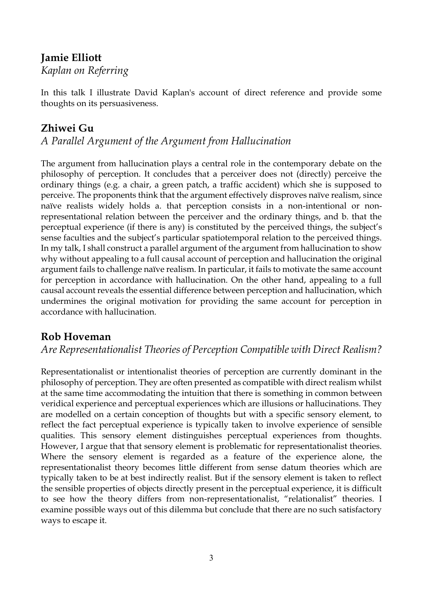# **Jamie Elliott**

*Kaplan on Referring*

In this talk I illustrate David Kaplan's account of direct reference and provide some thoughts on its persuasiveness.

### **Zhiwei Gu**

*A Parallel Argument of the Argument from Hallucination*

The argument from hallucination plays a central role in the contemporary debate on the philosophy of perception. It concludes that a perceiver does not (directly) perceive the ordinary things (e.g. a chair, a green patch, a traffic accident) which she is supposed to perceive. The proponents think that the argument effectively disproves naïve realism, since naïve realists widely holds a. that perception consists in a non-intentional or nonrepresentational relation between the perceiver and the ordinary things, and b. that the perceptual experience (if there is any) is constituted by the perceived things, the subject's sense faculties and the subject's particular spatiotemporal relation to the perceived things. In my talk, I shall construct a parallel argument of the argument from hallucination to show why without appealing to a full causal account of perception and hallucination the original argument fails to challenge naïve realism. In particular, it fails to motivate the same account for perception in accordance with hallucination. On the other hand, appealing to a full causal account reveals the essential difference between perception and hallucination, which undermines the original motivation for providing the same account for perception in accordance with hallucination.

# **Rob Hoveman**

*Are Representationalist Theories of Perception Compatible with Direct Realism?*

Representationalist or intentionalist theories of perception are currently dominant in the philosophy of perception. They are often presented as compatible with direct realism whilst at the same time accommodating the intuition that there is something in common between veridical experience and perceptual experiences which are illusions or hallucinations. They are modelled on a certain conception of thoughts but with a specific sensory element, to reflect the fact perceptual experience is typically taken to involve experience of sensible qualities. This sensory element distinguishes perceptual experiences from thoughts. However, I argue that that sensory element is problematic for representationalist theories. Where the sensory element is regarded as a feature of the experience alone, the representationalist theory becomes little different from sense datum theories which are typically taken to be at best indirectly realist. But if the sensory element is taken to reflect the sensible properties of objects directly present in the perceptual experience, it is difficult to see how the theory differs from non-representationalist, "relationalist" theories. I examine possible ways out of this dilemma but conclude that there are no such satisfactory ways to escape it.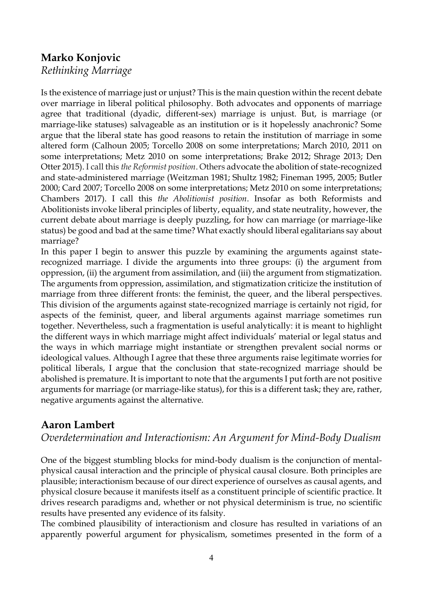# **Marko Konjovic**

*Rethinking Marriage*

Is the existence of marriage just or unjust? This is the main question within the recent debate over marriage in liberal political philosophy. Both advocates and opponents of marriage agree that traditional (dyadic, different-sex) marriage is unjust. But, is marriage (or marriage-like statuses) salvageable as an institution or is it hopelessly anachronic? Some argue that the liberal state has good reasons to retain the institution of marriage in some altered form (Calhoun 2005; Torcello 2008 on some interpretations; March 2010, 2011 on some interpretations; Metz 2010 on some interpretations; Brake 2012; Shrage 2013; Den Otter 2015). I call this *the Reformist position*. Others advocate the abolition of state-recognized and state-administered marriage (Weitzman 1981; Shultz 1982; Fineman 1995, 2005; Butler 2000; Card 2007; Torcello 2008 on some interpretations; Metz 2010 on some interpretations; Chambers 2017). I call this *the Abolitionist position*. Insofar as both Reformists and Abolitionists invoke liberal principles of liberty, equality, and state neutrality, however, the current debate about marriage is deeply puzzling, for how can marriage (or marriage-like status) be good and bad at the same time? What exactly should liberal egalitarians say about marriage?

In this paper I begin to answer this puzzle by examining the arguments against staterecognized marriage. I divide the arguments into three groups: (i) the argument from oppression, (ii) the argument from assimilation, and (iii) the argument from stigmatization. The arguments from oppression, assimilation, and stigmatization criticize the institution of marriage from three different fronts: the feminist, the queer, and the liberal perspectives. This division of the arguments against state-recognized marriage is certainly not rigid, for aspects of the feminist, queer, and liberal arguments against marriage sometimes run together. Nevertheless, such a fragmentation is useful analytically: it is meant to highlight the different ways in which marriage might affect individuals' material or legal status and the ways in which marriage might instantiate or strengthen prevalent social norms or ideological values. Although I agree that these three arguments raise legitimate worries for political liberals, I argue that the conclusion that state-recognized marriage should be abolished is premature. It is important to note that the arguments I put forth are not positive arguments for marriage (or marriage-like status), for this is a different task; they are, rather, negative arguments against the alternative.

# **Aaron Lambert**

#### *Overdetermination and Interactionism: An Argument for Mind-Body Dualism*

One of the biggest stumbling blocks for mind-body dualism is the conjunction of mentalphysical causal interaction and the principle of physical causal closure. Both principles are plausible; interactionism because of our direct experience of ourselves as causal agents, and physical closure because it manifests itself as a constituent principle of scientific practice. It drives research paradigms and, whether or not physical determinism is true, no scientific results have presented any evidence of its falsity.

The combined plausibility of interactionism and closure has resulted in variations of an apparently powerful argument for physicalism, sometimes presented in the form of a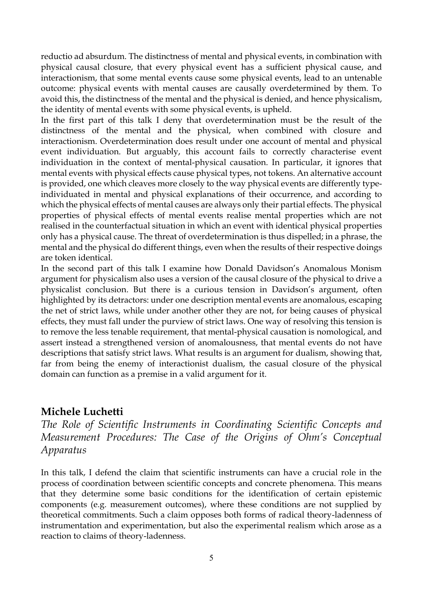reductio ad absurdum. The distinctness of mental and physical events, in combination with physical causal closure, that every physical event has a sufficient physical cause, and interactionism, that some mental events cause some physical events, lead to an untenable outcome: physical events with mental causes are causally overdetermined by them. To avoid this, the distinctness of the mental and the physical is denied, and hence physicalism, the identity of mental events with some physical events, is upheld.

In the first part of this talk I deny that overdetermination must be the result of the distinctness of the mental and the physical, when combined with closure and interactionism. Overdetermination does result under one account of mental and physical event individuation. But arguably, this account fails to correctly characterise event individuation in the context of mental-physical causation. In particular, it ignores that mental events with physical effects cause physical types, not tokens. An alternative account is provided, one which cleaves more closely to the way physical events are differently typeindividuated in mental and physical explanations of their occurrence, and according to which the physical effects of mental causes are always only their partial effects. The physical properties of physical effects of mental events realise mental properties which are not realised in the counterfactual situation in which an event with identical physical properties only has a physical cause. The threat of overdetermination is thus dispelled; in a phrase, the mental and the physical do different things, even when the results of their respective doings are token identical.

In the second part of this talk I examine how Donald Davidson's Anomalous Monism argument for physicalism also uses a version of the causal closure of the physical to drive a physicalist conclusion. But there is a curious tension in Davidson's argument, often highlighted by its detractors: under one description mental events are anomalous, escaping the net of strict laws, while under another other they are not, for being causes of physical effects, they must fall under the purview of strict laws. One way of resolving this tension is to remove the less tenable requirement, that mental-physical causation is nomological, and assert instead a strengthened version of anomalousness, that mental events do not have descriptions that satisfy strict laws. What results is an argument for dualism, showing that, far from being the enemy of interactionist dualism, the casual closure of the physical domain can function as a premise in a valid argument for it.

#### **Michele Luchetti**

*The Role of Scientific Instruments in Coordinating Scientific Concepts and Measurement Procedures: The Case of the Origins of Ohm's Conceptual Apparatus*

In this talk, I defend the claim that scientific instruments can have a crucial role in the process of coordination between scientific concepts and concrete phenomena. This means that they determine some basic conditions for the identification of certain epistemic components (e.g. measurement outcomes), where these conditions are not supplied by theoretical commitments. Such a claim opposes both forms of radical theory-ladenness of instrumentation and experimentation, but also the experimental realism which arose as a reaction to claims of theory-ladenness.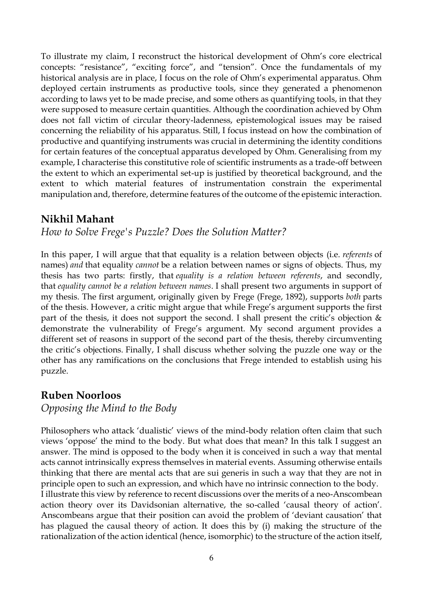To illustrate my claim, I reconstruct the historical development of Ohm's core electrical concepts: "resistance", "exciting force", and "tension". Once the fundamentals of my historical analysis are in place, I focus on the role of Ohm's experimental apparatus. Ohm deployed certain instruments as productive tools, since they generated a phenomenon according to laws yet to be made precise, and some others as quantifying tools, in that they were supposed to measure certain quantities. Although the coordination achieved by Ohm does not fall victim of circular theory-ladenness, epistemological issues may be raised concerning the reliability of his apparatus. Still, I focus instead on how the combination of productive and quantifying instruments was crucial in determining the identity conditions for certain features of the conceptual apparatus developed by Ohm. Generalising from my example, I characterise this constitutive role of scientific instruments as a trade-off between the extent to which an experimental set-up is justified by theoretical background, and the extent to which material features of instrumentation constrain the experimental manipulation and, therefore, determine features of the outcome of the epistemic interaction.

# **Nikhil Mahant**

*How to Solve Frege's Puzzle? Does the Solution Matter?*

In this paper, I will argue that that equality is a relation between objects (i.e. *referents* of names) *and* that equality *cannot* be a relation between names or signs of objects. Thus, my thesis has two parts: firstly, that *equality is a relation between referents*, and secondly, that *equality cannot be a relation between names*. I shall present two arguments in support of my thesis. The first argument, originally given by Frege (Frege, 1892), supports *both* parts of the thesis. However, a critic might argue that while Frege's argument supports the first part of the thesis, it does not support the second. I shall present the critic's objection  $\&$ demonstrate the vulnerability of Frege's argument. My second argument provides a different set of reasons in support of the second part of the thesis, thereby circumventing the critic's objections. Finally, I shall discuss whether solving the puzzle one way or the other has any ramifications on the conclusions that Frege intended to establish using his puzzle.

# **Ruben Noorloos**

*Opposing the Mind to the Body*

Philosophers who attack 'dualistic' views of the mind-body relation often claim that such views 'oppose' the mind to the body. But what does that mean? In this talk I suggest an answer. The mind is opposed to the body when it is conceived in such a way that mental acts cannot intrinsically express themselves in material events. Assuming otherwise entails thinking that there are mental acts that are sui generis in such a way that they are not in principle open to such an expression, and which have no intrinsic connection to the body. I illustrate this view by reference to recent discussions over the merits of a neo-Anscombean action theory over its Davidsonian alternative, the so-called 'causal theory of action'. Anscombeans argue that their position can avoid the problem of 'deviant causation' that has plagued the causal theory of action. It does this by (i) making the structure of the rationalization of the action identical (hence, isomorphic) to the structure of the action itself,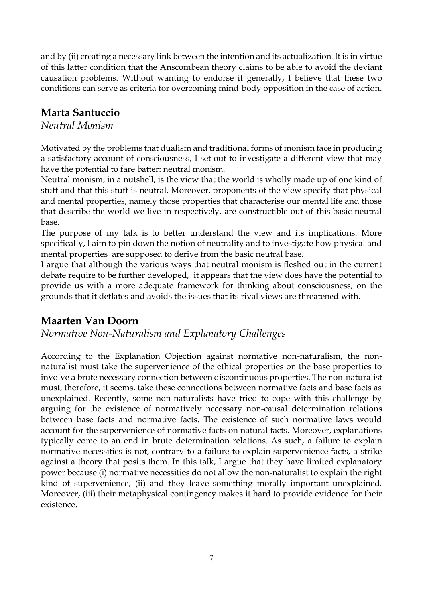and by (ii) creating a necessary link between the intention and its actualization. It is in virtue of this latter condition that the Anscombean theory claims to be able to avoid the deviant causation problems. Without wanting to endorse it generally, I believe that these two conditions can serve as criteria for overcoming mind-body opposition in the case of action.

# **Marta Santuccio**

#### *Neutral Monism*

Motivated by the problems that dualism and traditional forms of monism face in producing a satisfactory account of consciousness, I set out to investigate a different view that may have the potential to fare batter: neutral monism.

Neutral monism, in a nutshell, is the view that the world is wholly made up of one kind of stuff and that this stuff is neutral. Moreover, proponents of the view specify that physical and mental properties, namely those properties that characterise our mental life and those that describe the world we live in respectively, are constructible out of this basic neutral base.

The purpose of my talk is to better understand the view and its implications. More specifically, I aim to pin down the notion of neutrality and to investigate how physical and mental properties are supposed to derive from the basic neutral base.

I argue that although the various ways that neutral monism is fleshed out in the current debate require to be further developed, it appears that the view does have the potential to provide us with a more adequate framework for thinking about consciousness, on the grounds that it deflates and avoids the issues that its rival views are threatened with.

# **Maarten Van Doorn**

#### *Normative Non-Naturalism and Explanatory Challenges*

According to the Explanation Objection against normative non-naturalism, the nonnaturalist must take the supervenience of the ethical properties on the base properties to involve a brute necessary connection between discontinuous properties. The non-naturalist must, therefore, it seems, take these connections between normative facts and base facts as unexplained. Recently, some non-naturalists have tried to cope with this challenge by arguing for the existence of normatively necessary non-causal determination relations between base facts and normative facts. The existence of such normative laws would account for the supervenience of normative facts on natural facts. Moreover, explanations typically come to an end in brute determination relations. As such, a failure to explain normative necessities is not, contrary to a failure to explain supervenience facts, a strike against a theory that posits them. In this talk, I argue that they have limited explanatory power because (i) normative necessities do not allow the non-naturalist to explain the right kind of supervenience, (ii) and they leave something morally important unexplained. Moreover, (iii) their metaphysical contingency makes it hard to provide evidence for their existence.